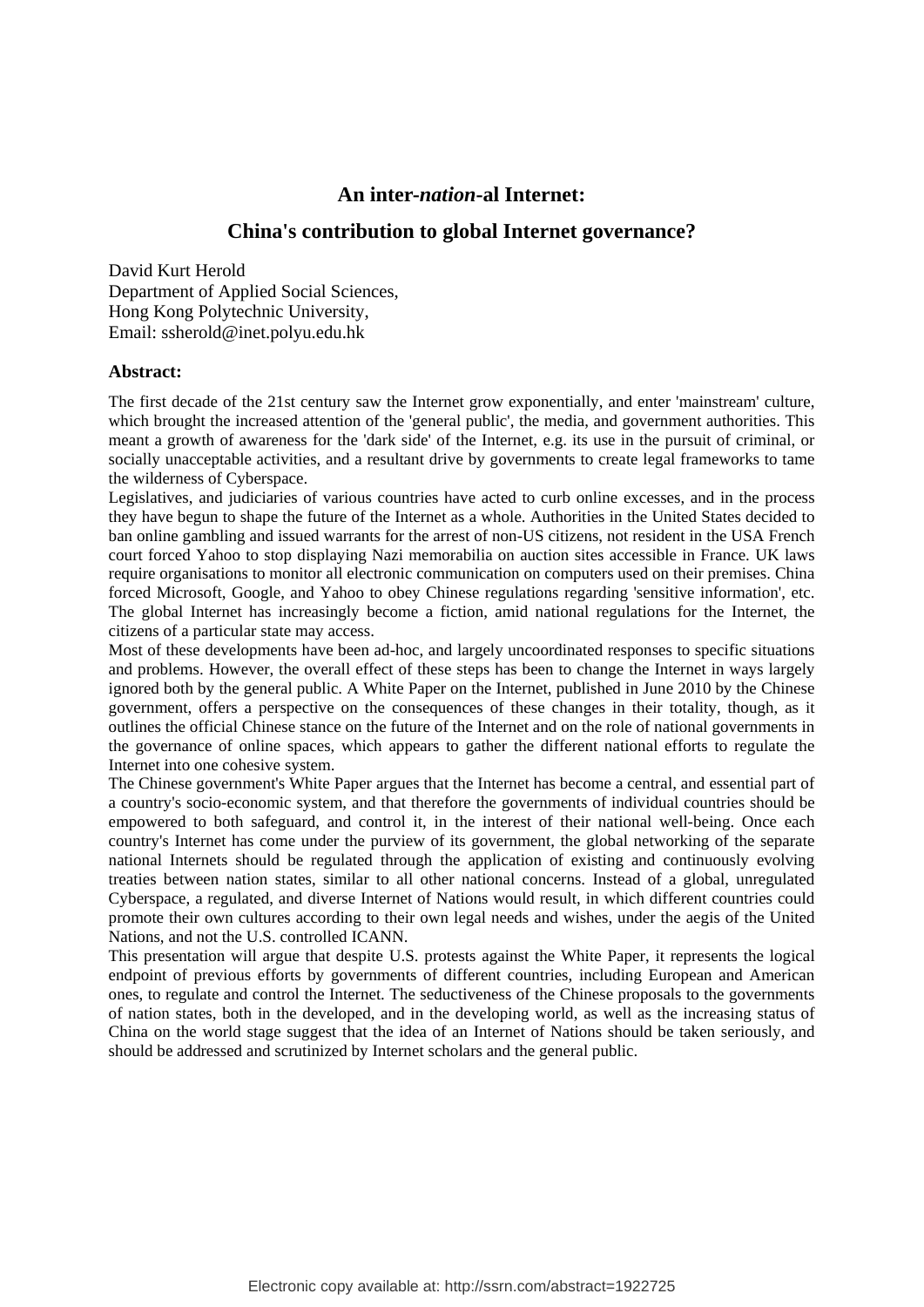# **An inter-***nation***-al Internet:**

# **China's contribution to global Internet governance?**

David Kurt Herold Department of Applied Social Sciences, Hong Kong Polytechnic University, Email: ssherold@inet.polyu.edu.hk

#### **Abstract:**

The first decade of the 21st century saw the Internet grow exponentially, and enter 'mainstream' culture, which brought the increased attention of the 'general public', the media, and government authorities. This meant a growth of awareness for the 'dark side' of the Internet, e.g. its use in the pursuit of criminal, or socially unacceptable activities, and a resultant drive by governments to create legal frameworks to tame the wilderness of Cyberspace.

Legislatives, and judiciaries of various countries have acted to curb online excesses, and in the process they have begun to shape the future of the Internet as a whole. Authorities in the United States decided to ban online gambling and issued warrants for the arrest of non-US citizens, not resident in the USA French court forced Yahoo to stop displaying Nazi memorabilia on auction sites accessible in France. UK laws require organisations to monitor all electronic communication on computers used on their premises. China forced Microsoft, Google, and Yahoo to obey Chinese regulations regarding 'sensitive information', etc. The global Internet has increasingly become a fiction, amid national regulations for the Internet, the citizens of a particular state may access.

Most of these developments have been ad-hoc, and largely uncoordinated responses to specific situations and problems. However, the overall effect of these steps has been to change the Internet in ways largely ignored both by the general public. A White Paper on the Internet, published in June 2010 by the Chinese government, offers a perspective on the consequences of these changes in their totality, though, as it outlines the official Chinese stance on the future of the Internet and on the role of national governments in the governance of online spaces, which appears to gather the different national efforts to regulate the Internet into one cohesive system.

The Chinese government's White Paper argues that the Internet has become a central, and essential part of a country's socio-economic system, and that therefore the governments of individual countries should be empowered to both safeguard, and control it, in the interest of their national well-being. Once each country's Internet has come under the purview of its government, the global networking of the separate national Internets should be regulated through the application of existing and continuously evolving treaties between nation states, similar to all other national concerns. Instead of a global, unregulated Cyberspace, a regulated, and diverse Internet of Nations would result, in which different countries could promote their own cultures according to their own legal needs and wishes, under the aegis of the United Nations, and not the U.S. controlled ICANN.

This presentation will argue that despite U.S. protests against the White Paper, it represents the logical endpoint of previous efforts by governments of different countries, including European and American ones, to regulate and control the Internet. The seductiveness of the Chinese proposals to the governments of nation states, both in the developed, and in the developing world, as well as the increasing status of China on the world stage suggest that the idea of an Internet of Nations should be taken seriously, and should be addressed and scrutinized by Internet scholars and the general public.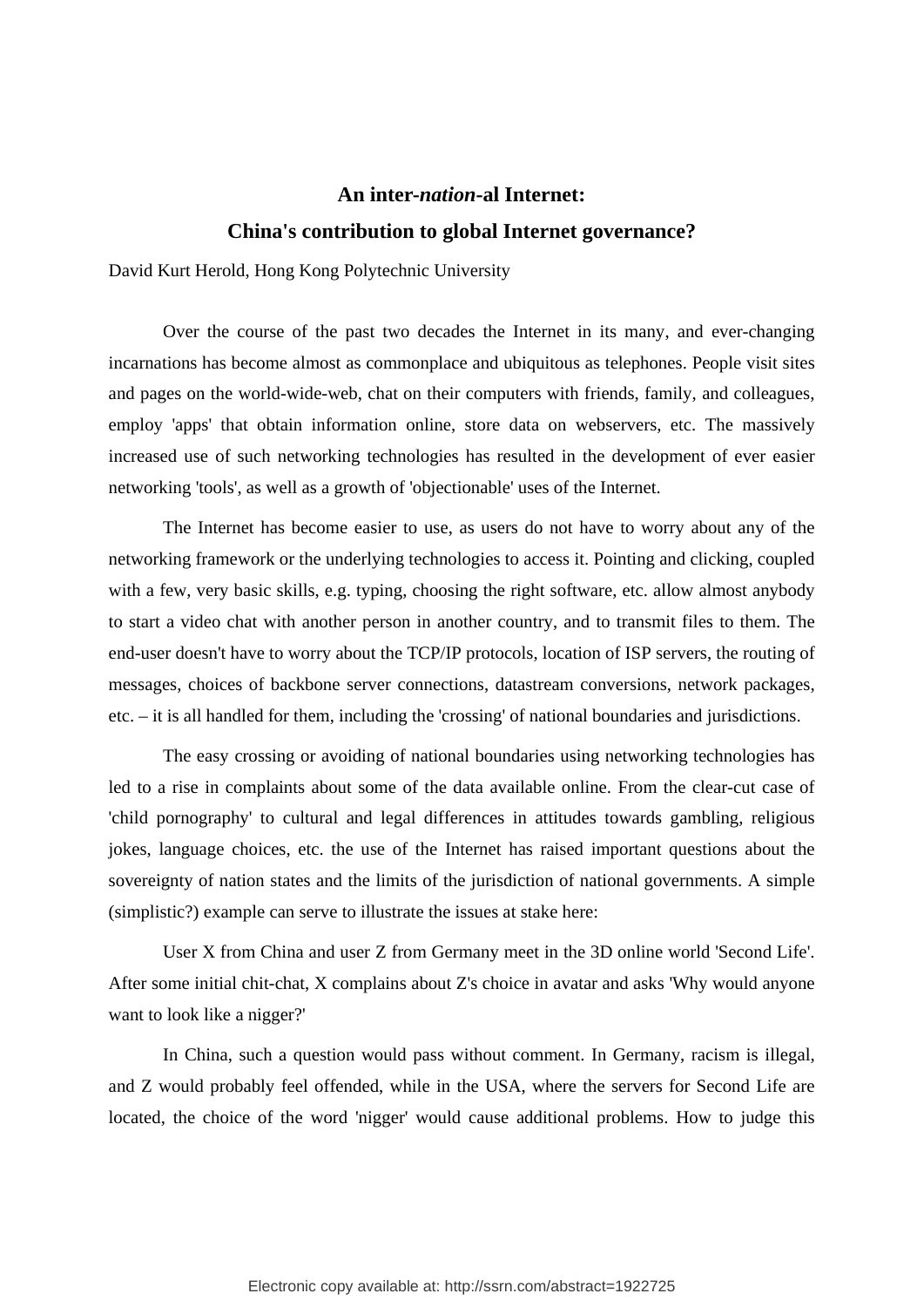# **An inter-***nation***-al Internet: China's contribution to global Internet governance?**

David Kurt Herold, Hong Kong Polytechnic University

Over the course of the past two decades the Internet in its many, and ever-changing incarnations has become almost as commonplace and ubiquitous as telephones. People visit sites and pages on the world-wide-web, chat on their computers with friends, family, and colleagues, employ 'apps' that obtain information online, store data on webservers, etc. The massively increased use of such networking technologies has resulted in the development of ever easier networking 'tools', as well as a growth of 'objectionable' uses of the Internet.

The Internet has become easier to use, as users do not have to worry about any of the networking framework or the underlying technologies to access it. Pointing and clicking, coupled with a few, very basic skills, e.g. typing, choosing the right software, etc. allow almost anybody to start a video chat with another person in another country, and to transmit files to them. The end-user doesn't have to worry about the TCP/IP protocols, location of ISP servers, the routing of messages, choices of backbone server connections, datastream conversions, network packages, etc. – it is all handled for them, including the 'crossing' of national boundaries and jurisdictions.

The easy crossing or avoiding of national boundaries using networking technologies has led to a rise in complaints about some of the data available online. From the clear-cut case of 'child pornography' to cultural and legal differences in attitudes towards gambling, religious jokes, language choices, etc. the use of the Internet has raised important questions about the sovereignty of nation states and the limits of the jurisdiction of national governments. A simple (simplistic?) example can serve to illustrate the issues at stake here:

User X from China and user Z from Germany meet in the 3D online world 'Second Life'. After some initial chit-chat, X complains about Z's choice in avatar and asks 'Why would anyone want to look like a nigger?'

In China, such a question would pass without comment. In Germany, racism is illegal, and Z would probably feel offended, while in the USA, where the servers for Second Life are located, the choice of the word 'nigger' would cause additional problems. How to judge this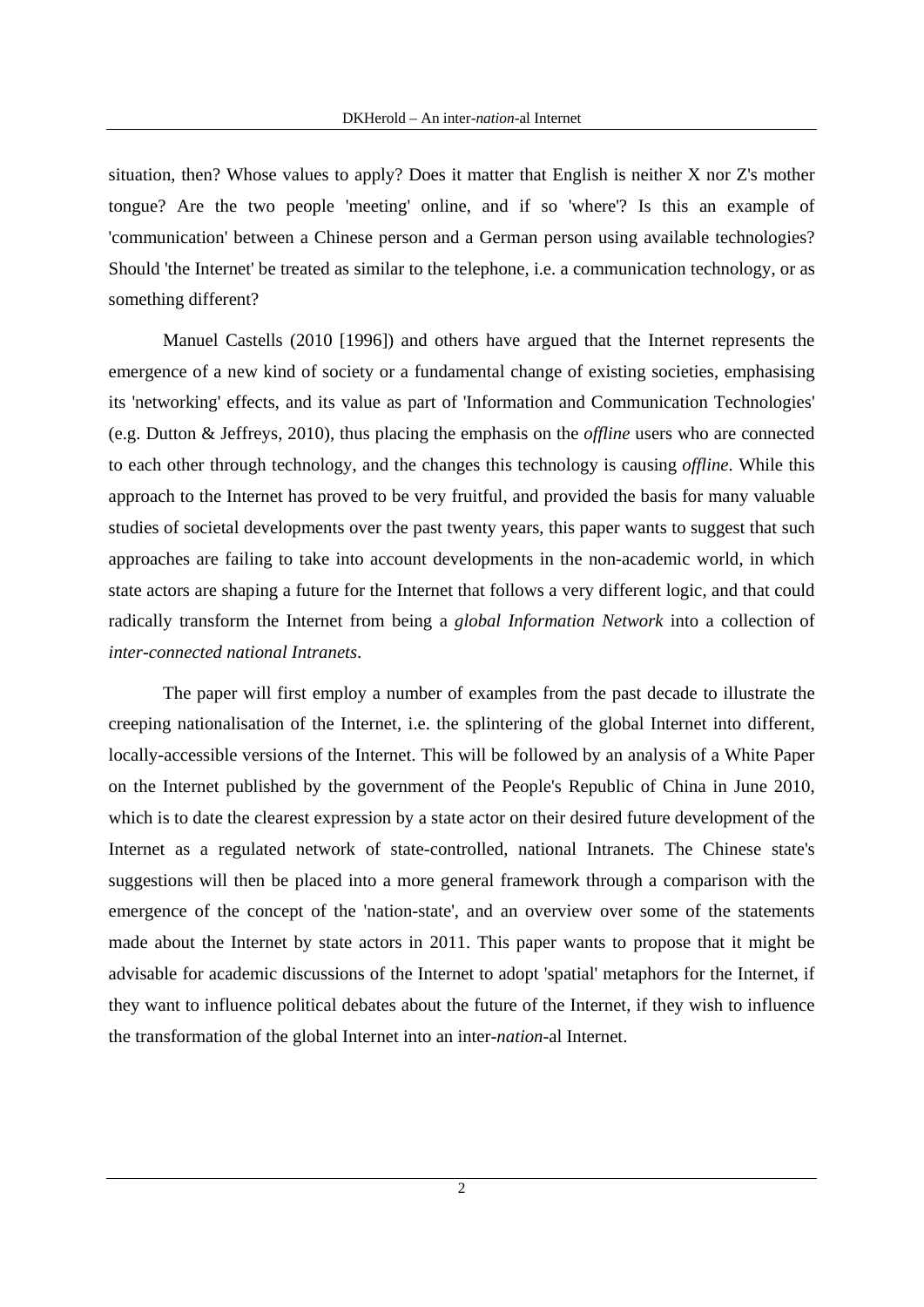situation, then? Whose values to apply? Does it matter that English is neither X nor Z's mother tongue? Are the two people 'meeting' online, and if so 'where'? Is this an example of 'communication' between a Chinese person and a German person using available technologies? Should 'the Internet' be treated as similar to the telephone, i.e. a communication technology, or as something different?

Manuel Castells (2010 [1996]) and others have argued that the Internet represents the emergence of a new kind of society or a fundamental change of existing societies, emphasising its 'networking' effects, and its value as part of 'Information and Communication Technologies' (e.g. Dutton & Jeffreys, 2010), thus placing the emphasis on the *offline* users who are connected to each other through technology, and the changes this technology is causing *offline*. While this approach to the Internet has proved to be very fruitful, and provided the basis for many valuable studies of societal developments over the past twenty years, this paper wants to suggest that such approaches are failing to take into account developments in the non-academic world, in which state actors are shaping a future for the Internet that follows a very different logic, and that could radically transform the Internet from being a *global Information Network* into a collection of *inter-connected national Intranets*.

The paper will first employ a number of examples from the past decade to illustrate the creeping nationalisation of the Internet, i.e. the splintering of the global Internet into different, locally-accessible versions of the Internet. This will be followed by an analysis of a White Paper on the Internet published by the government of the People's Republic of China in June 2010, which is to date the clearest expression by a state actor on their desired future development of the Internet as a regulated network of state-controlled, national Intranets. The Chinese state's suggestions will then be placed into a more general framework through a comparison with the emergence of the concept of the 'nation-state', and an overview over some of the statements made about the Internet by state actors in 2011. This paper wants to propose that it might be advisable for academic discussions of the Internet to adopt 'spatial' metaphors for the Internet, if they want to influence political debates about the future of the Internet, if they wish to influence the transformation of the global Internet into an inter-*nation*-al Internet.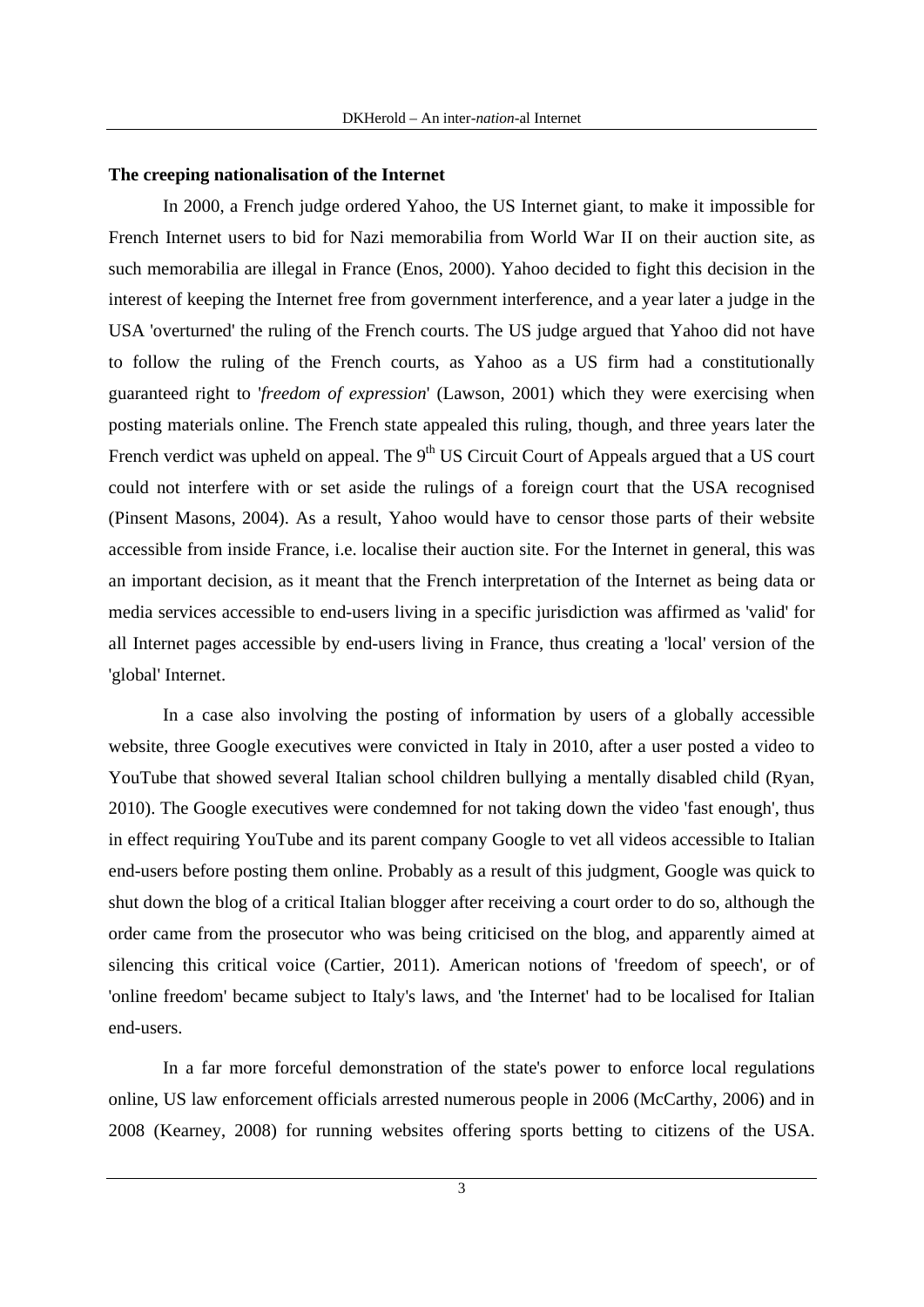#### **The creeping nationalisation of the Internet**

In 2000, a French judge ordered Yahoo, the US Internet giant, to make it impossible for French Internet users to bid for Nazi memorabilia from World War II on their auction site, as such memorabilia are illegal in France (Enos, 2000). Yahoo decided to fight this decision in the interest of keeping the Internet free from government interference, and a year later a judge in the USA 'overturned' the ruling of the French courts. The US judge argued that Yahoo did not have to follow the ruling of the French courts, as Yahoo as a US firm had a constitutionally guaranteed right to '*freedom of expression*' (Lawson, 2001) which they were exercising when posting materials online. The French state appealed this ruling, though, and three years later the French verdict was upheld on appeal. The  $9<sup>th</sup> US Circuit Court$  of Appeals argued that a US court could not interfere with or set aside the rulings of a foreign court that the USA recognised (Pinsent Masons, 2004). As a result, Yahoo would have to censor those parts of their website accessible from inside France, i.e. localise their auction site. For the Internet in general, this was an important decision, as it meant that the French interpretation of the Internet as being data or media services accessible to end-users living in a specific jurisdiction was affirmed as 'valid' for all Internet pages accessible by end-users living in France, thus creating a 'local' version of the 'global' Internet.

In a case also involving the posting of information by users of a globally accessible website, three Google executives were convicted in Italy in 2010, after a user posted a video to YouTube that showed several Italian school children bullying a mentally disabled child (Ryan, 2010). The Google executives were condemned for not taking down the video 'fast enough', thus in effect requiring YouTube and its parent company Google to vet all videos accessible to Italian end-users before posting them online. Probably as a result of this judgment, Google was quick to shut down the blog of a critical Italian blogger after receiving a court order to do so, although the order came from the prosecutor who was being criticised on the blog, and apparently aimed at silencing this critical voice (Cartier, 2011). American notions of 'freedom of speech', or of 'online freedom' became subject to Italy's laws, and 'the Internet' had to be localised for Italian end-users.

In a far more forceful demonstration of the state's power to enforce local regulations online, US law enforcement officials arrested numerous people in 2006 (McCarthy, 2006) and in 2008 (Kearney, 2008) for running websites offering sports betting to citizens of the USA.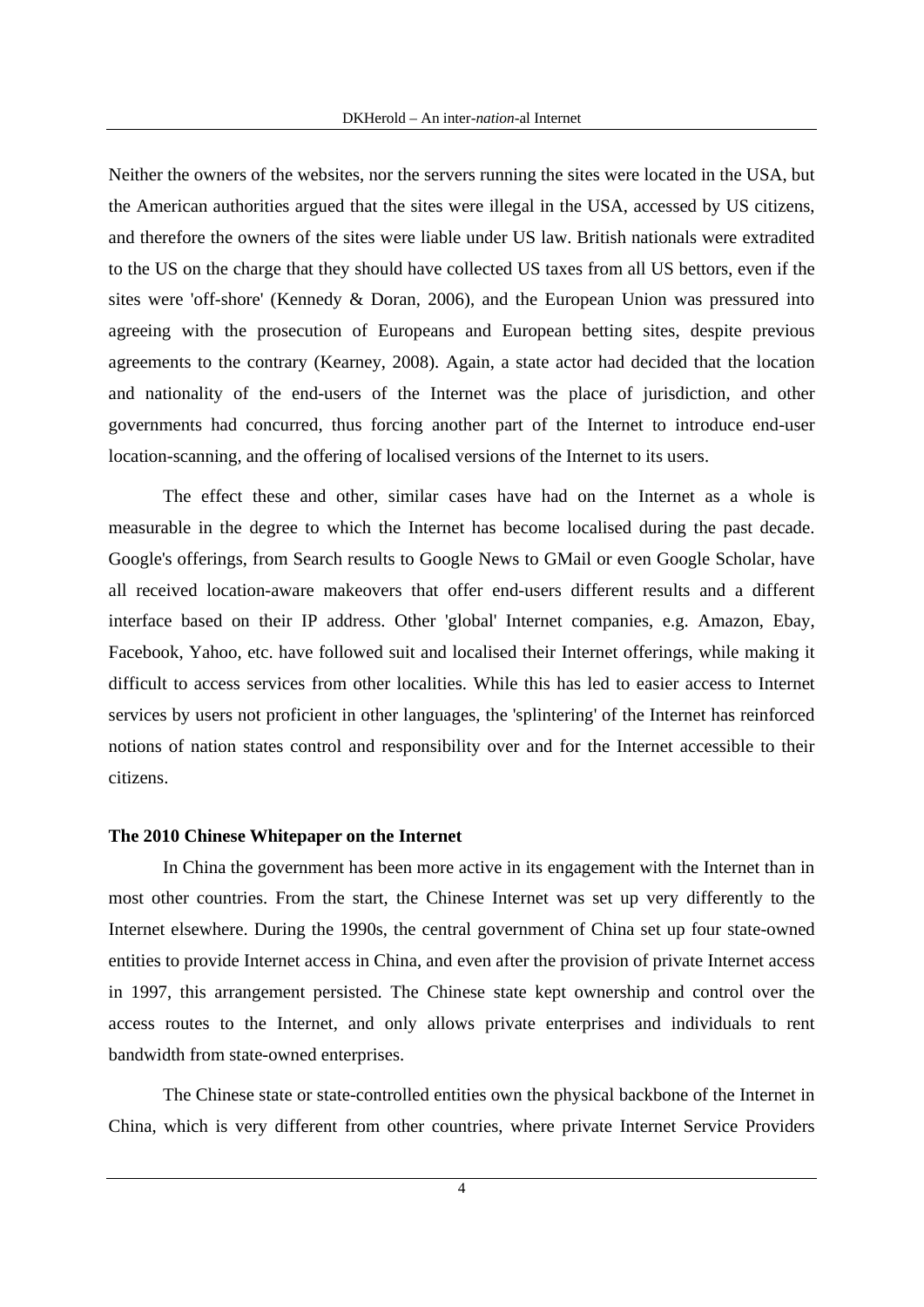Neither the owners of the websites, nor the servers running the sites were located in the USA, but the American authorities argued that the sites were illegal in the USA, accessed by US citizens, and therefore the owners of the sites were liable under US law. British nationals were extradited to the US on the charge that they should have collected US taxes from all US bettors, even if the sites were 'off-shore' (Kennedy & Doran, 2006), and the European Union was pressured into agreeing with the prosecution of Europeans and European betting sites, despite previous agreements to the contrary (Kearney, 2008). Again, a state actor had decided that the location and nationality of the end-users of the Internet was the place of jurisdiction, and other governments had concurred, thus forcing another part of the Internet to introduce end-user location-scanning, and the offering of localised versions of the Internet to its users.

The effect these and other, similar cases have had on the Internet as a whole is measurable in the degree to which the Internet has become localised during the past decade. Google's offerings, from Search results to Google News to GMail or even Google Scholar, have all received location-aware makeovers that offer end-users different results and a different interface based on their IP address. Other 'global' Internet companies, e.g. Amazon, Ebay, Facebook, Yahoo, etc. have followed suit and localised their Internet offerings, while making it difficult to access services from other localities. While this has led to easier access to Internet services by users not proficient in other languages, the 'splintering' of the Internet has reinforced notions of nation states control and responsibility over and for the Internet accessible to their citizens.

#### **The 2010 Chinese Whitepaper on the Internet**

In China the government has been more active in its engagement with the Internet than in most other countries. From the start, the Chinese Internet was set up very differently to the Internet elsewhere. During the 1990s, the central government of China set up four state-owned entities to provide Internet access in China, and even after the provision of private Internet access in 1997, this arrangement persisted. The Chinese state kept ownership and control over the access routes to the Internet, and only allows private enterprises and individuals to rent bandwidth from state-owned enterprises.

The Chinese state or state-controlled entities own the physical backbone of the Internet in China, which is very different from other countries, where private Internet Service Providers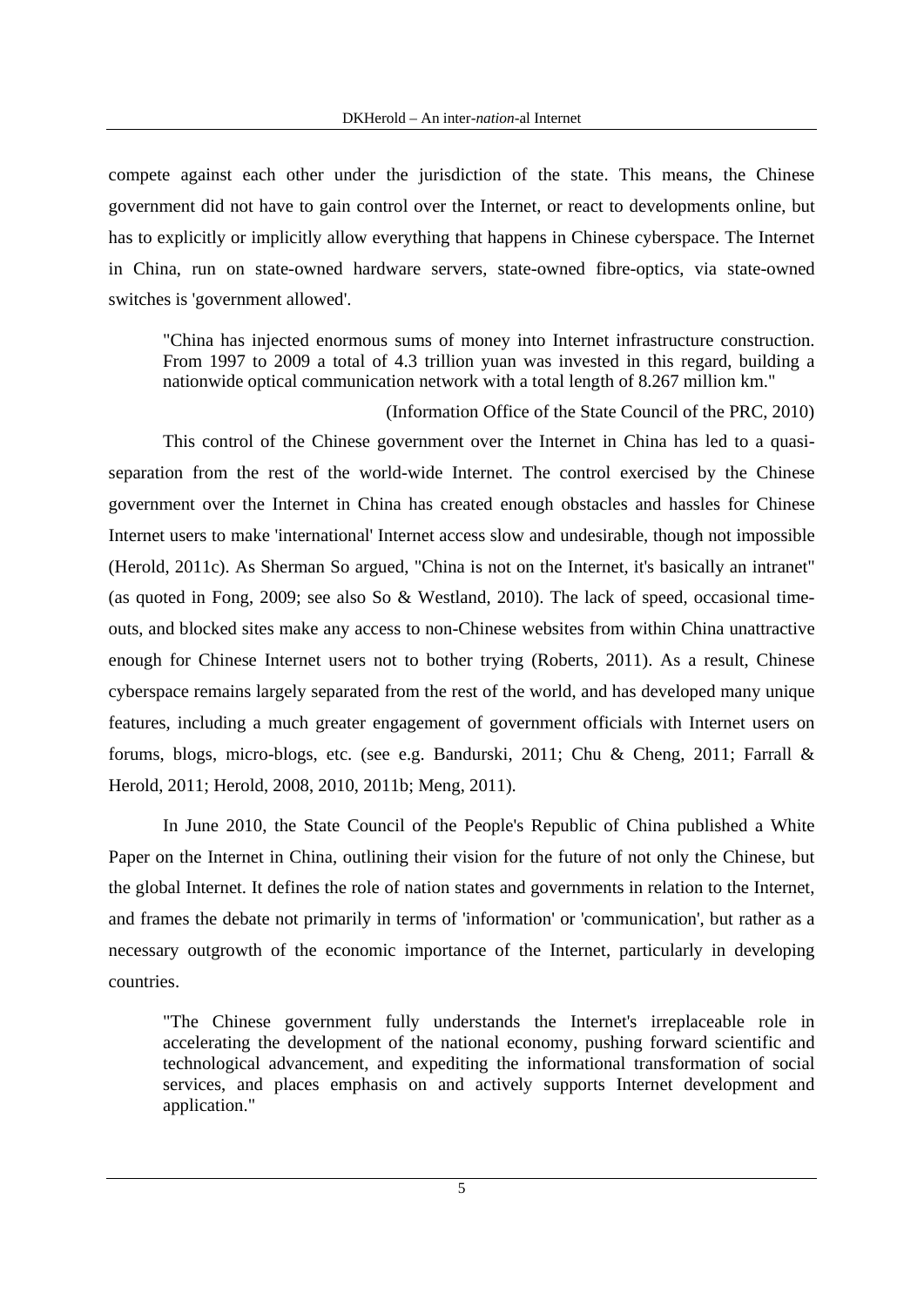compete against each other under the jurisdiction of the state. This means, the Chinese government did not have to gain control over the Internet, or react to developments online, but has to explicitly or implicitly allow everything that happens in Chinese cyberspace. The Internet in China, run on state-owned hardware servers, state-owned fibre-optics, via state-owned switches is 'government allowed'.

"China has injected enormous sums of money into Internet infrastructure construction. From 1997 to 2009 a total of 4.3 trillion yuan was invested in this regard, building a nationwide optical communication network with a total length of 8.267 million km."

(Information Office of the State Council of the PRC, 2010)

This control of the Chinese government over the Internet in China has led to a quasiseparation from the rest of the world-wide Internet. The control exercised by the Chinese government over the Internet in China has created enough obstacles and hassles for Chinese Internet users to make 'international' Internet access slow and undesirable, though not impossible (Herold, 2011c). As Sherman So argued, "China is not on the Internet, it's basically an intranet" (as quoted in Fong, 2009; see also So & Westland, 2010). The lack of speed, occasional timeouts, and blocked sites make any access to non-Chinese websites from within China unattractive enough for Chinese Internet users not to bother trying (Roberts, 2011). As a result, Chinese cyberspace remains largely separated from the rest of the world, and has developed many unique features, including a much greater engagement of government officials with Internet users on forums, blogs, micro-blogs, etc. (see e.g. Bandurski, 2011; Chu & Cheng, 2011; Farrall & Herold, 2011; Herold, 2008, 2010, 2011b; Meng, 2011).

In June 2010, the State Council of the People's Republic of China published a White Paper on the Internet in China, outlining their vision for the future of not only the Chinese, but the global Internet. It defines the role of nation states and governments in relation to the Internet, and frames the debate not primarily in terms of 'information' or 'communication', but rather as a necessary outgrowth of the economic importance of the Internet, particularly in developing countries.

"The Chinese government fully understands the Internet's irreplaceable role in accelerating the development of the national economy, pushing forward scientific and technological advancement, and expediting the informational transformation of social services, and places emphasis on and actively supports Internet development and application."

5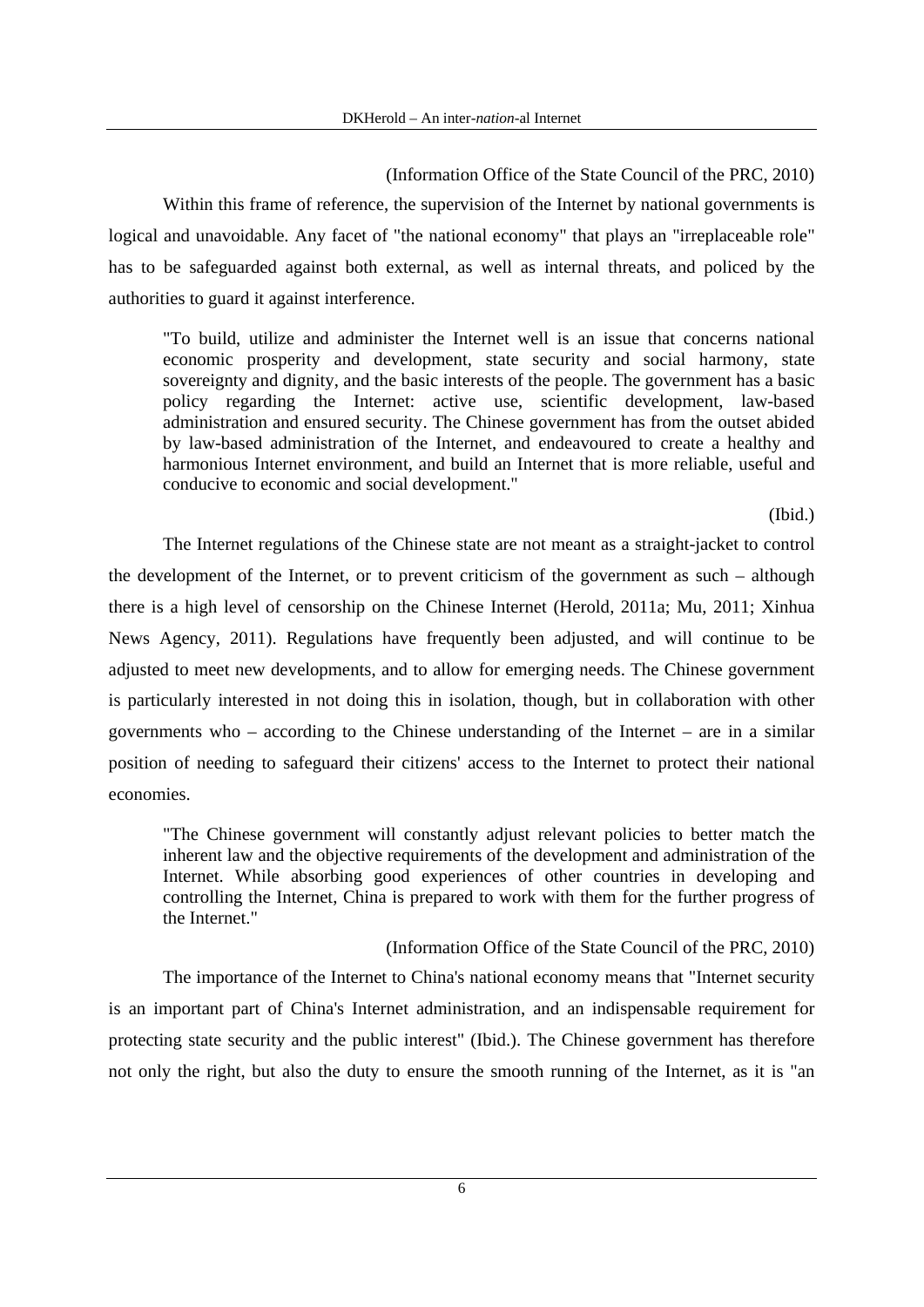(Information Office of the State Council of the PRC, 2010)

Within this frame of reference, the supervision of the Internet by national governments is logical and unavoidable. Any facet of "the national economy" that plays an "irreplaceable role" has to be safeguarded against both external, as well as internal threats, and policed by the authorities to guard it against interference.

"To build, utilize and administer the Internet well is an issue that concerns national economic prosperity and development, state security and social harmony, state sovereignty and dignity, and the basic interests of the people. The government has a basic policy regarding the Internet: active use, scientific development, law-based administration and ensured security. The Chinese government has from the outset abided by law-based administration of the Internet, and endeavoured to create a healthy and harmonious Internet environment, and build an Internet that is more reliable, useful and conducive to economic and social development."

(Ibid.)

The Internet regulations of the Chinese state are not meant as a straight-jacket to control the development of the Internet, or to prevent criticism of the government as such – although there is a high level of censorship on the Chinese Internet (Herold, 2011a; Mu, 2011; Xinhua News Agency, 2011). Regulations have frequently been adjusted, and will continue to be adjusted to meet new developments, and to allow for emerging needs. The Chinese government is particularly interested in not doing this in isolation, though, but in collaboration with other governments who – according to the Chinese understanding of the Internet – are in a similar position of needing to safeguard their citizens' access to the Internet to protect their national economies.

"The Chinese government will constantly adjust relevant policies to better match the inherent law and the objective requirements of the development and administration of the Internet. While absorbing good experiences of other countries in developing and controlling the Internet, China is prepared to work with them for the further progress of the Internet."

## (Information Office of the State Council of the PRC, 2010)

The importance of the Internet to China's national economy means that "Internet security is an important part of China's Internet administration, and an indispensable requirement for protecting state security and the public interest" (Ibid.). The Chinese government has therefore not only the right, but also the duty to ensure the smooth running of the Internet, as it is "an

6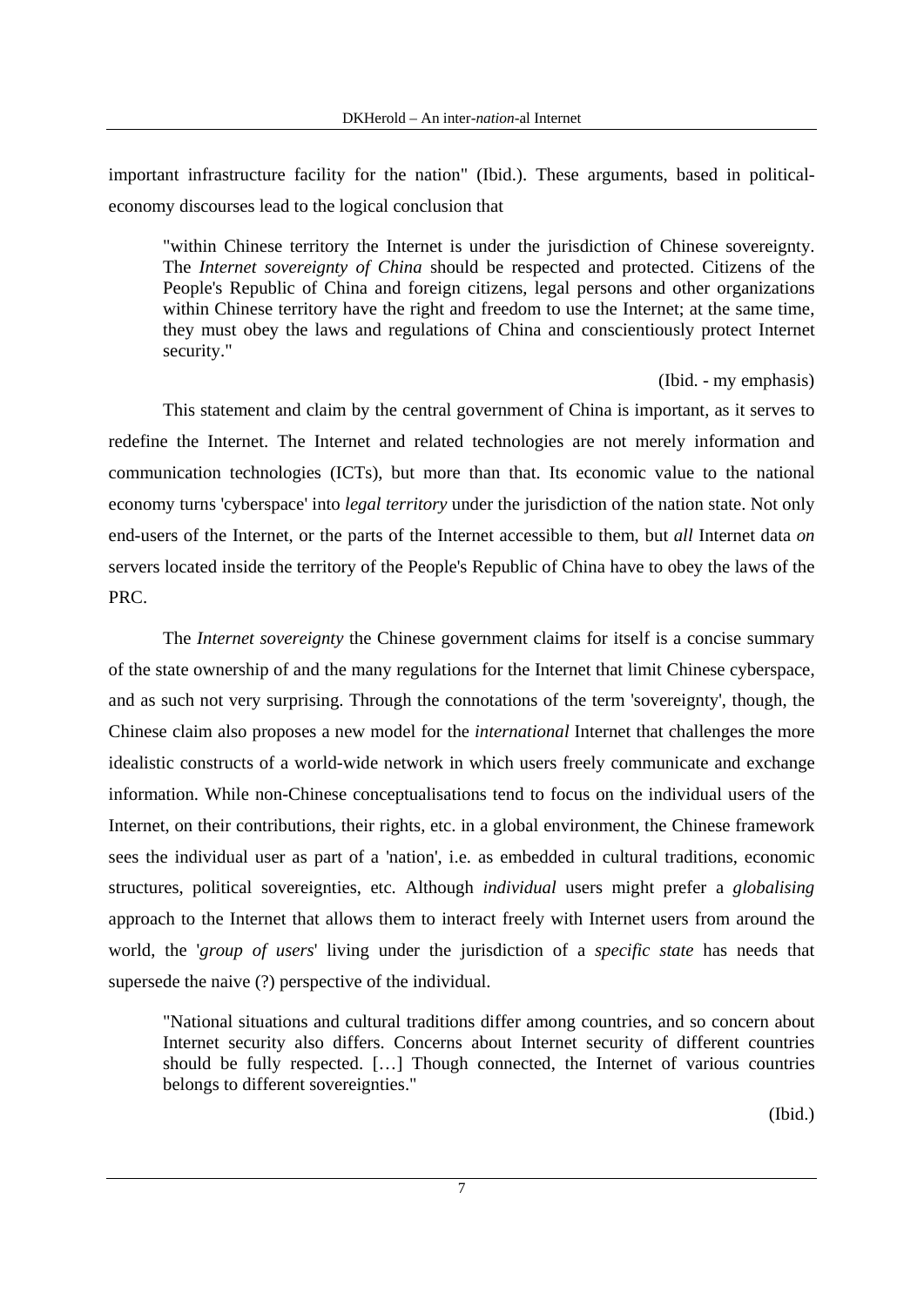important infrastructure facility for the nation" (Ibid.). These arguments, based in politicaleconomy discourses lead to the logical conclusion that

"within Chinese territory the Internet is under the jurisdiction of Chinese sovereignty. The *Internet sovereignty of China* should be respected and protected. Citizens of the People's Republic of China and foreign citizens, legal persons and other organizations within Chinese territory have the right and freedom to use the Internet; at the same time, they must obey the laws and regulations of China and conscientiously protect Internet security."

(Ibid. - my emphasis)

This statement and claim by the central government of China is important, as it serves to redefine the Internet. The Internet and related technologies are not merely information and communication technologies (ICTs), but more than that. Its economic value to the national economy turns 'cyberspace' into *legal territory* under the jurisdiction of the nation state. Not only end-users of the Internet, or the parts of the Internet accessible to them, but *all* Internet data *on* servers located inside the territory of the People's Republic of China have to obey the laws of the PRC.

The *Internet sovereignty* the Chinese government claims for itself is a concise summary of the state ownership of and the many regulations for the Internet that limit Chinese cyberspace, and as such not very surprising. Through the connotations of the term 'sovereignty', though, the Chinese claim also proposes a new model for the *international* Internet that challenges the more idealistic constructs of a world-wide network in which users freely communicate and exchange information. While non-Chinese conceptualisations tend to focus on the individual users of the Internet, on their contributions, their rights, etc. in a global environment, the Chinese framework sees the individual user as part of a 'nation', i.e. as embedded in cultural traditions, economic structures, political sovereignties, etc. Although *individual* users might prefer a *globalising* approach to the Internet that allows them to interact freely with Internet users from around the world, the '*group of users*' living under the jurisdiction of a *specific state* has needs that supersede the naive (?) perspective of the individual.

"National situations and cultural traditions differ among countries, and so concern about Internet security also differs. Concerns about Internet security of different countries should be fully respected. […] Though connected, the Internet of various countries belongs to different sovereignties."

(Ibid.)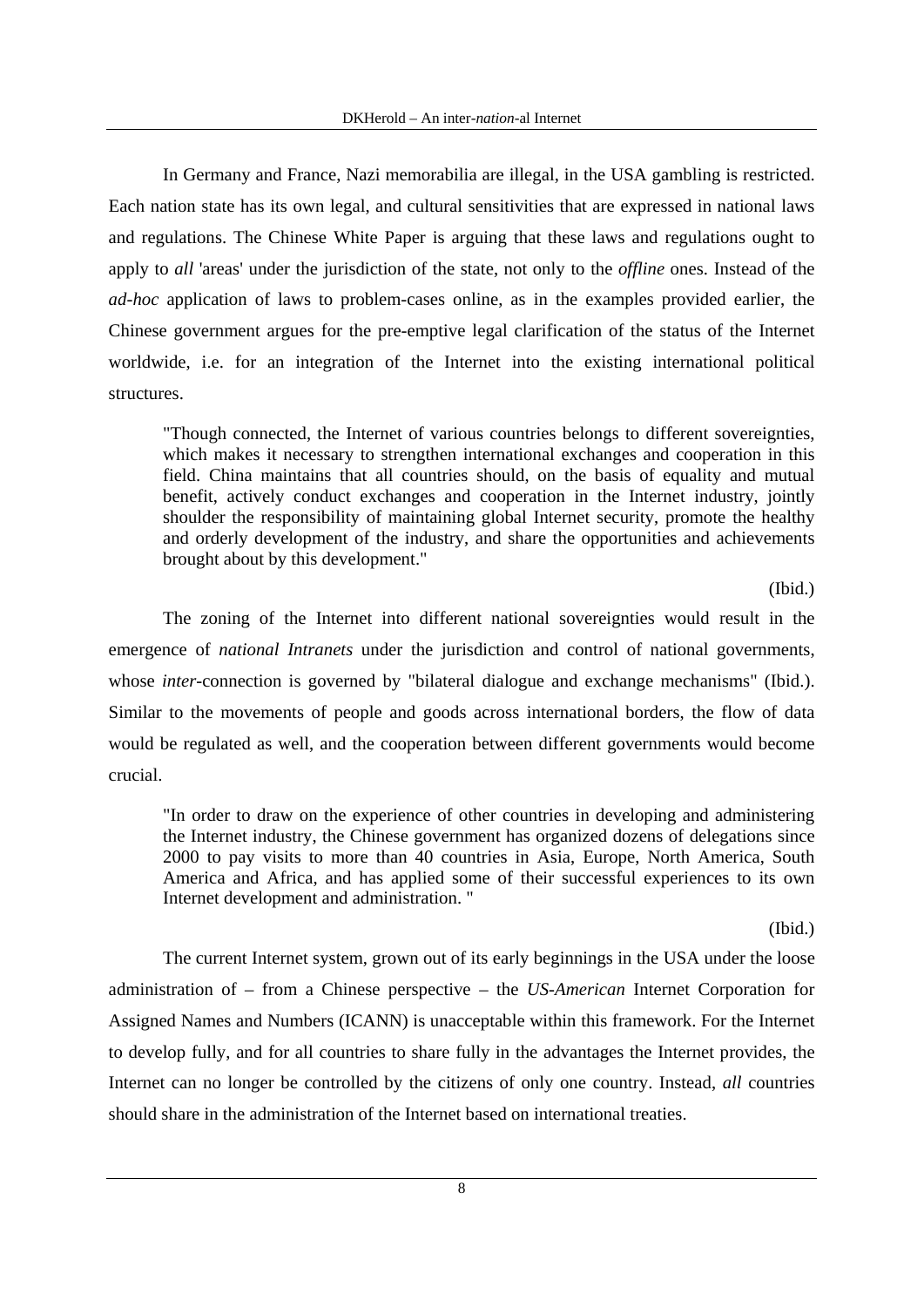In Germany and France, Nazi memorabilia are illegal, in the USA gambling is restricted. Each nation state has its own legal, and cultural sensitivities that are expressed in national laws and regulations. The Chinese White Paper is arguing that these laws and regulations ought to apply to *all* 'areas' under the jurisdiction of the state, not only to the *offline* ones. Instead of the *ad-hoc* application of laws to problem-cases online, as in the examples provided earlier, the Chinese government argues for the pre-emptive legal clarification of the status of the Internet worldwide, i.e. for an integration of the Internet into the existing international political structures.

"Though connected, the Internet of various countries belongs to different sovereignties, which makes it necessary to strengthen international exchanges and cooperation in this field. China maintains that all countries should, on the basis of equality and mutual benefit, actively conduct exchanges and cooperation in the Internet industry, jointly shoulder the responsibility of maintaining global Internet security, promote the healthy and orderly development of the industry, and share the opportunities and achievements brought about by this development."

(Ibid.)

The zoning of the Internet into different national sovereignties would result in the emergence of *national Intranets* under the jurisdiction and control of national governments, whose *inter*-connection is governed by "bilateral dialogue and exchange mechanisms" (Ibid.). Similar to the movements of people and goods across international borders, the flow of data would be regulated as well, and the cooperation between different governments would become crucial.

"In order to draw on the experience of other countries in developing and administering the Internet industry, the Chinese government has organized dozens of delegations since 2000 to pay visits to more than 40 countries in Asia, Europe, North America, South America and Africa, and has applied some of their successful experiences to its own Internet development and administration. "

(Ibid.)

The current Internet system, grown out of its early beginnings in the USA under the loose administration of – from a Chinese perspective – the *US-American* Internet Corporation for Assigned Names and Numbers (ICANN) is unacceptable within this framework. For the Internet to develop fully, and for all countries to share fully in the advantages the Internet provides, the Internet can no longer be controlled by the citizens of only one country. Instead, *all* countries should share in the administration of the Internet based on international treaties.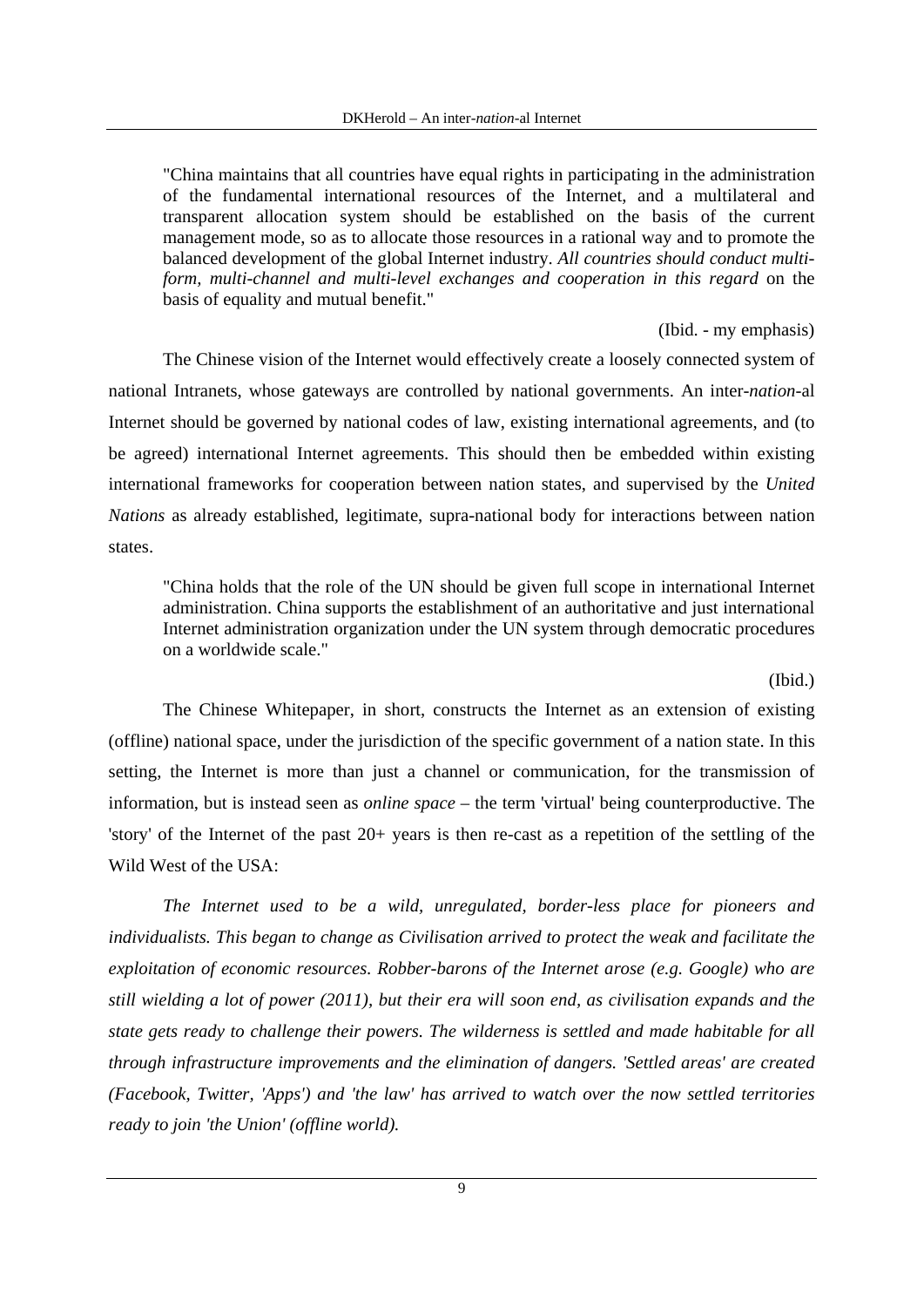"China maintains that all countries have equal rights in participating in the administration of the fundamental international resources of the Internet, and a multilateral and transparent allocation system should be established on the basis of the current management mode, so as to allocate those resources in a rational way and to promote the balanced development of the global Internet industry. *All countries should conduct multiform, multi-channel and multi-level exchanges and cooperation in this regard* on the basis of equality and mutual benefit."

(Ibid. - my emphasis)

The Chinese vision of the Internet would effectively create a loosely connected system of national Intranets, whose gateways are controlled by national governments. An inter-*nation*-al Internet should be governed by national codes of law, existing international agreements, and (to be agreed) international Internet agreements. This should then be embedded within existing international frameworks for cooperation between nation states, and supervised by the *United Nations* as already established, legitimate, supra-national body for interactions between nation states.

"China holds that the role of the UN should be given full scope in international Internet administration. China supports the establishment of an authoritative and just international Internet administration organization under the UN system through democratic procedures on a worldwide scale."

#### (Ibid.)

The Chinese Whitepaper, in short, constructs the Internet as an extension of existing (offline) national space, under the jurisdiction of the specific government of a nation state. In this setting, the Internet is more than just a channel or communication, for the transmission of information, but is instead seen as *online space* – the term 'virtual' being counterproductive. The 'story' of the Internet of the past 20+ years is then re-cast as a repetition of the settling of the Wild West of the USA:

*The Internet used to be a wild, unregulated, border-less place for pioneers and individualists. This began to change as Civilisation arrived to protect the weak and facilitate the exploitation of economic resources. Robber-barons of the Internet arose (e.g. Google) who are still wielding a lot of power (2011), but their era will soon end, as civilisation expands and the state gets ready to challenge their powers. The wilderness is settled and made habitable for all through infrastructure improvements and the elimination of dangers. 'Settled areas' are created (Facebook, Twitter, 'Apps') and 'the law' has arrived to watch over the now settled territories ready to join 'the Union' (offline world).*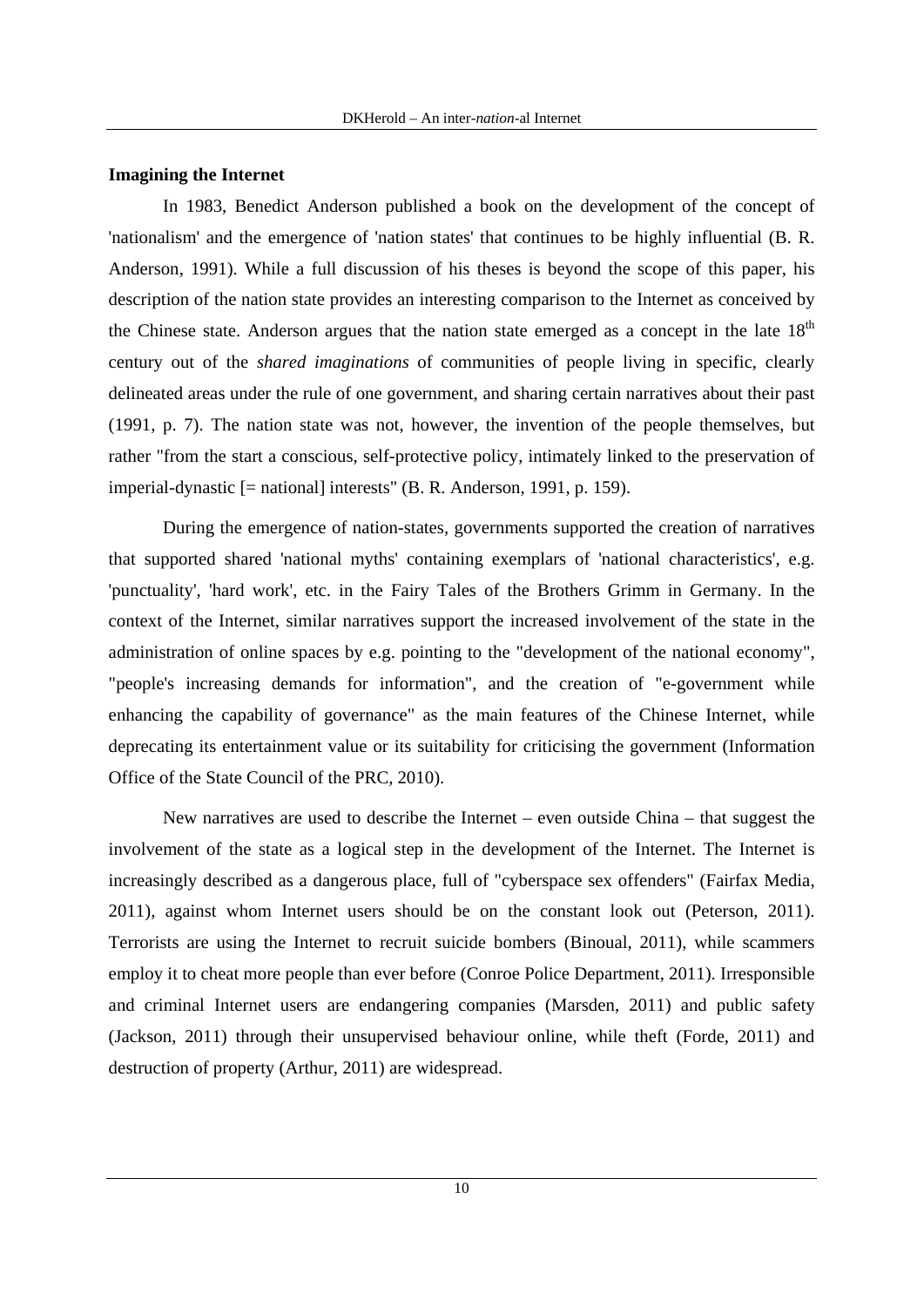#### **Imagining the Internet**

In 1983, Benedict Anderson published a book on the development of the concept of 'nationalism' and the emergence of 'nation states' that continues to be highly influential (B. R. Anderson, 1991). While a full discussion of his theses is beyond the scope of this paper, his description of the nation state provides an interesting comparison to the Internet as conceived by the Chinese state. Anderson argues that the nation state emerged as a concept in the late  $18<sup>th</sup>$ century out of the *shared imaginations* of communities of people living in specific, clearly delineated areas under the rule of one government, and sharing certain narratives about their past (1991, p. 7). The nation state was not, however, the invention of the people themselves, but rather "from the start a conscious, self-protective policy, intimately linked to the preservation of imperial-dynastic [= national] interests" (B. R. Anderson, 1991, p. 159).

During the emergence of nation-states, governments supported the creation of narratives that supported shared 'national myths' containing exemplars of 'national characteristics', e.g. 'punctuality', 'hard work', etc. in the Fairy Tales of the Brothers Grimm in Germany. In the context of the Internet, similar narratives support the increased involvement of the state in the administration of online spaces by e.g. pointing to the "development of the national economy", "people's increasing demands for information", and the creation of "e-government while enhancing the capability of governance" as the main features of the Chinese Internet, while deprecating its entertainment value or its suitability for criticising the government (Information Office of the State Council of the PRC, 2010).

New narratives are used to describe the Internet – even outside China – that suggest the involvement of the state as a logical step in the development of the Internet. The Internet is increasingly described as a dangerous place, full of "cyberspace sex offenders" (Fairfax Media, 2011), against whom Internet users should be on the constant look out (Peterson, 2011). Terrorists are using the Internet to recruit suicide bombers (Binoual, 2011), while scammers employ it to cheat more people than ever before (Conroe Police Department, 2011). Irresponsible and criminal Internet users are endangering companies (Marsden, 2011) and public safety (Jackson, 2011) through their unsupervised behaviour online, while theft (Forde, 2011) and destruction of property (Arthur, 2011) are widespread.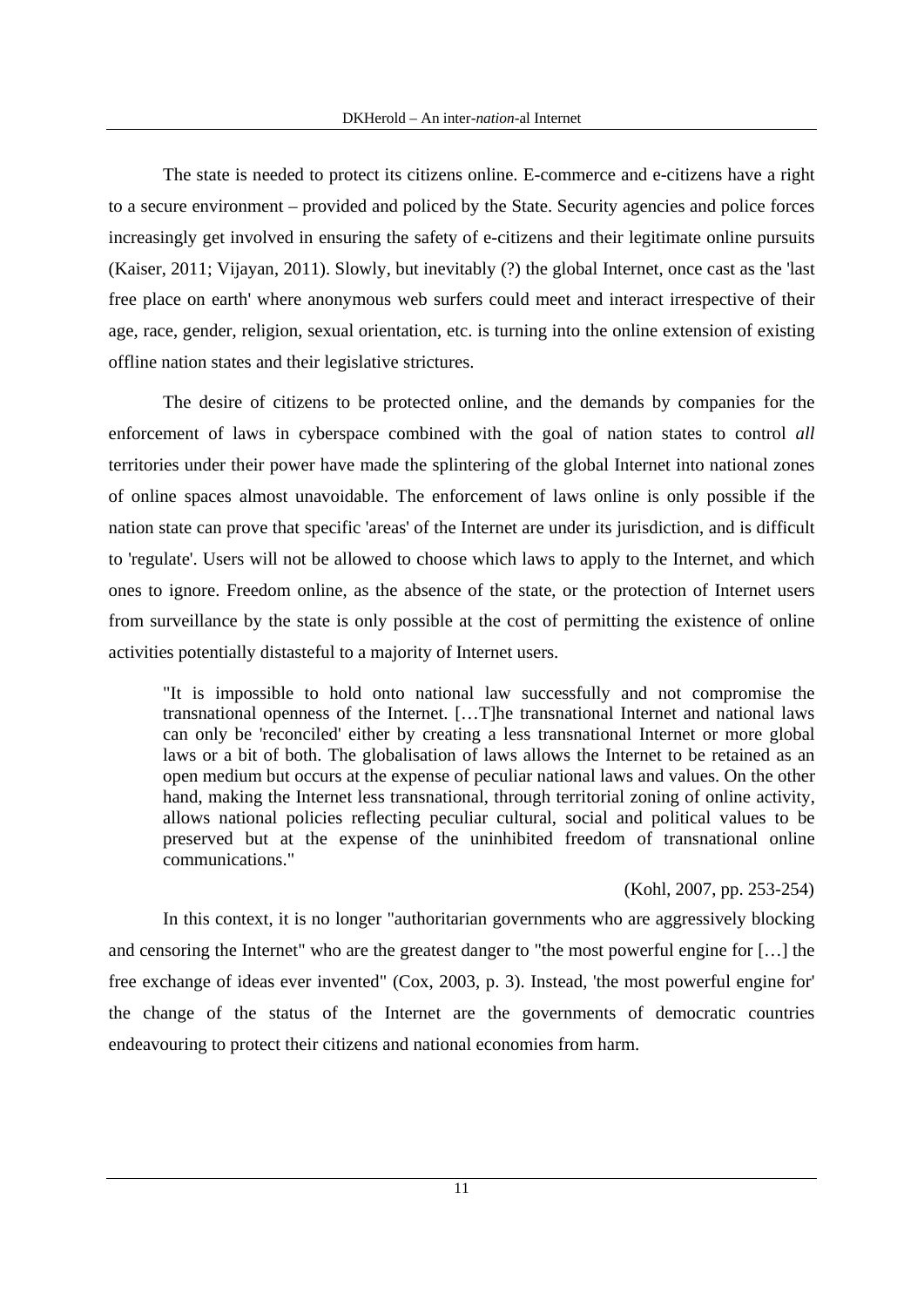The state is needed to protect its citizens online. E-commerce and e-citizens have a right to a secure environment – provided and policed by the State. Security agencies and police forces increasingly get involved in ensuring the safety of e-citizens and their legitimate online pursuits (Kaiser, 2011; Vijayan, 2011). Slowly, but inevitably (?) the global Internet, once cast as the 'last free place on earth' where anonymous web surfers could meet and interact irrespective of their age, race, gender, religion, sexual orientation, etc. is turning into the online extension of existing offline nation states and their legislative strictures.

The desire of citizens to be protected online, and the demands by companies for the enforcement of laws in cyberspace combined with the goal of nation states to control *all* territories under their power have made the splintering of the global Internet into national zones of online spaces almost unavoidable. The enforcement of laws online is only possible if the nation state can prove that specific 'areas' of the Internet are under its jurisdiction, and is difficult to 'regulate'. Users will not be allowed to choose which laws to apply to the Internet, and which ones to ignore. Freedom online, as the absence of the state, or the protection of Internet users from surveillance by the state is only possible at the cost of permitting the existence of online activities potentially distasteful to a majority of Internet users.

"It is impossible to hold onto national law successfully and not compromise the transnational openness of the Internet. […T]he transnational Internet and national laws can only be 'reconciled' either by creating a less transnational Internet or more global laws or a bit of both. The globalisation of laws allows the Internet to be retained as an open medium but occurs at the expense of peculiar national laws and values. On the other hand, making the Internet less transnational, through territorial zoning of online activity, allows national policies reflecting peculiar cultural, social and political values to be preserved but at the expense of the uninhibited freedom of transnational online communications."

#### (Kohl, 2007, pp. 253-254)

In this context, it is no longer "authoritarian governments who are aggressively blocking and censoring the Internet" who are the greatest danger to "the most powerful engine for […] the free exchange of ideas ever invented" (Cox, 2003, p. 3). Instead, 'the most powerful engine for' the change of the status of the Internet are the governments of democratic countries endeavouring to protect their citizens and national economies from harm.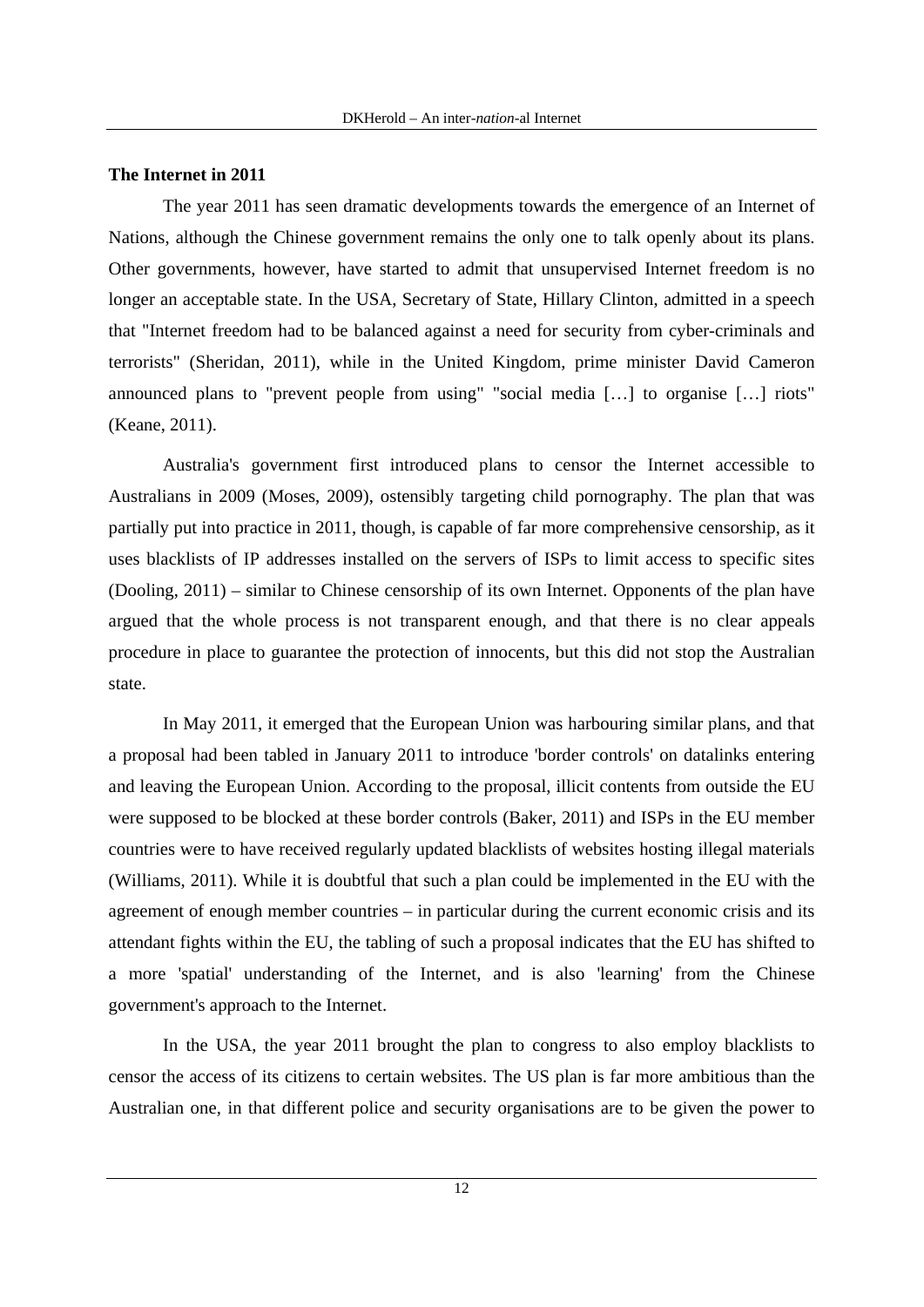#### **The Internet in 2011**

The year 2011 has seen dramatic developments towards the emergence of an Internet of Nations, although the Chinese government remains the only one to talk openly about its plans. Other governments, however, have started to admit that unsupervised Internet freedom is no longer an acceptable state. In the USA, Secretary of State, Hillary Clinton, admitted in a speech that "Internet freedom had to be balanced against a need for security from cyber-criminals and terrorists" (Sheridan, 2011), while in the United Kingdom, prime minister David Cameron announced plans to "prevent people from using" "social media […] to organise […] riots" (Keane, 2011).

Australia's government first introduced plans to censor the Internet accessible to Australians in 2009 (Moses, 2009), ostensibly targeting child pornography. The plan that was partially put into practice in 2011, though, is capable of far more comprehensive censorship, as it uses blacklists of IP addresses installed on the servers of ISPs to limit access to specific sites (Dooling, 2011) – similar to Chinese censorship of its own Internet. Opponents of the plan have argued that the whole process is not transparent enough, and that there is no clear appeals procedure in place to guarantee the protection of innocents, but this did not stop the Australian state.

In May 2011, it emerged that the European Union was harbouring similar plans, and that a proposal had been tabled in January 2011 to introduce 'border controls' on datalinks entering and leaving the European Union. According to the proposal, illicit contents from outside the EU were supposed to be blocked at these border controls (Baker, 2011) and ISPs in the EU member countries were to have received regularly updated blacklists of websites hosting illegal materials (Williams, 2011). While it is doubtful that such a plan could be implemented in the EU with the agreement of enough member countries – in particular during the current economic crisis and its attendant fights within the EU, the tabling of such a proposal indicates that the EU has shifted to a more 'spatial' understanding of the Internet, and is also 'learning' from the Chinese government's approach to the Internet.

In the USA, the year 2011 brought the plan to congress to also employ blacklists to censor the access of its citizens to certain websites. The US plan is far more ambitious than the Australian one, in that different police and security organisations are to be given the power to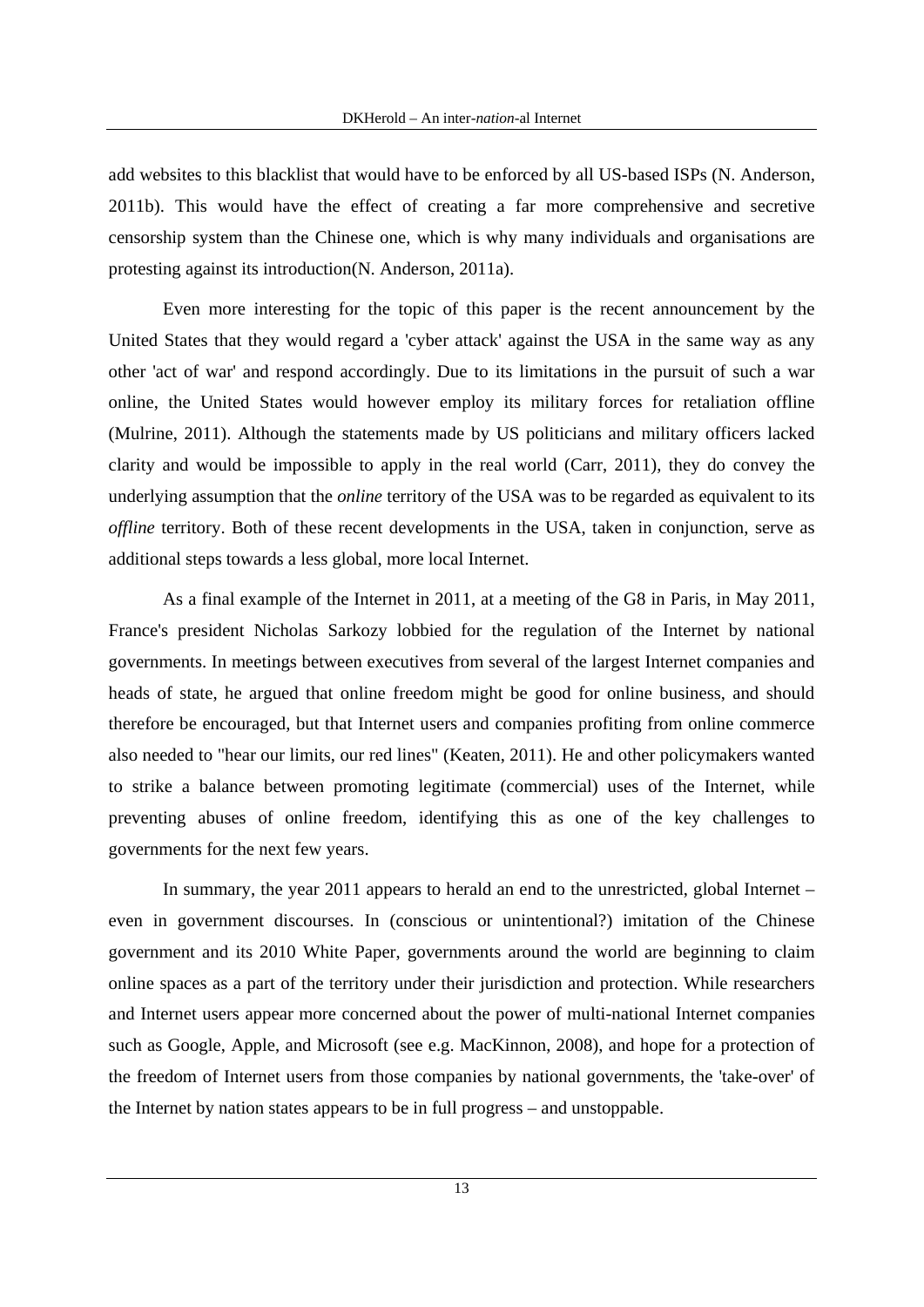add websites to this blacklist that would have to be enforced by all US-based ISPs (N. Anderson, 2011b). This would have the effect of creating a far more comprehensive and secretive censorship system than the Chinese one, which is why many individuals and organisations are protesting against its introduction(N. Anderson, 2011a).

Even more interesting for the topic of this paper is the recent announcement by the United States that they would regard a 'cyber attack' against the USA in the same way as any other 'act of war' and respond accordingly. Due to its limitations in the pursuit of such a war online, the United States would however employ its military forces for retaliation offline (Mulrine, 2011). Although the statements made by US politicians and military officers lacked clarity and would be impossible to apply in the real world (Carr, 2011), they do convey the underlying assumption that the *online* territory of the USA was to be regarded as equivalent to its *offline* territory. Both of these recent developments in the USA, taken in conjunction, serve as additional steps towards a less global, more local Internet.

As a final example of the Internet in 2011, at a meeting of the G8 in Paris, in May 2011, France's president Nicholas Sarkozy lobbied for the regulation of the Internet by national governments. In meetings between executives from several of the largest Internet companies and heads of state, he argued that online freedom might be good for online business, and should therefore be encouraged, but that Internet users and companies profiting from online commerce also needed to "hear our limits, our red lines" (Keaten, 2011). He and other policymakers wanted to strike a balance between promoting legitimate (commercial) uses of the Internet, while preventing abuses of online freedom, identifying this as one of the key challenges to governments for the next few years.

In summary, the year 2011 appears to herald an end to the unrestricted, global Internet – even in government discourses. In (conscious or unintentional?) imitation of the Chinese government and its 2010 White Paper, governments around the world are beginning to claim online spaces as a part of the territory under their jurisdiction and protection. While researchers and Internet users appear more concerned about the power of multi-national Internet companies such as Google, Apple, and Microsoft (see e.g. MacKinnon, 2008), and hope for a protection of the freedom of Internet users from those companies by national governments, the 'take-over' of the Internet by nation states appears to be in full progress – and unstoppable.

13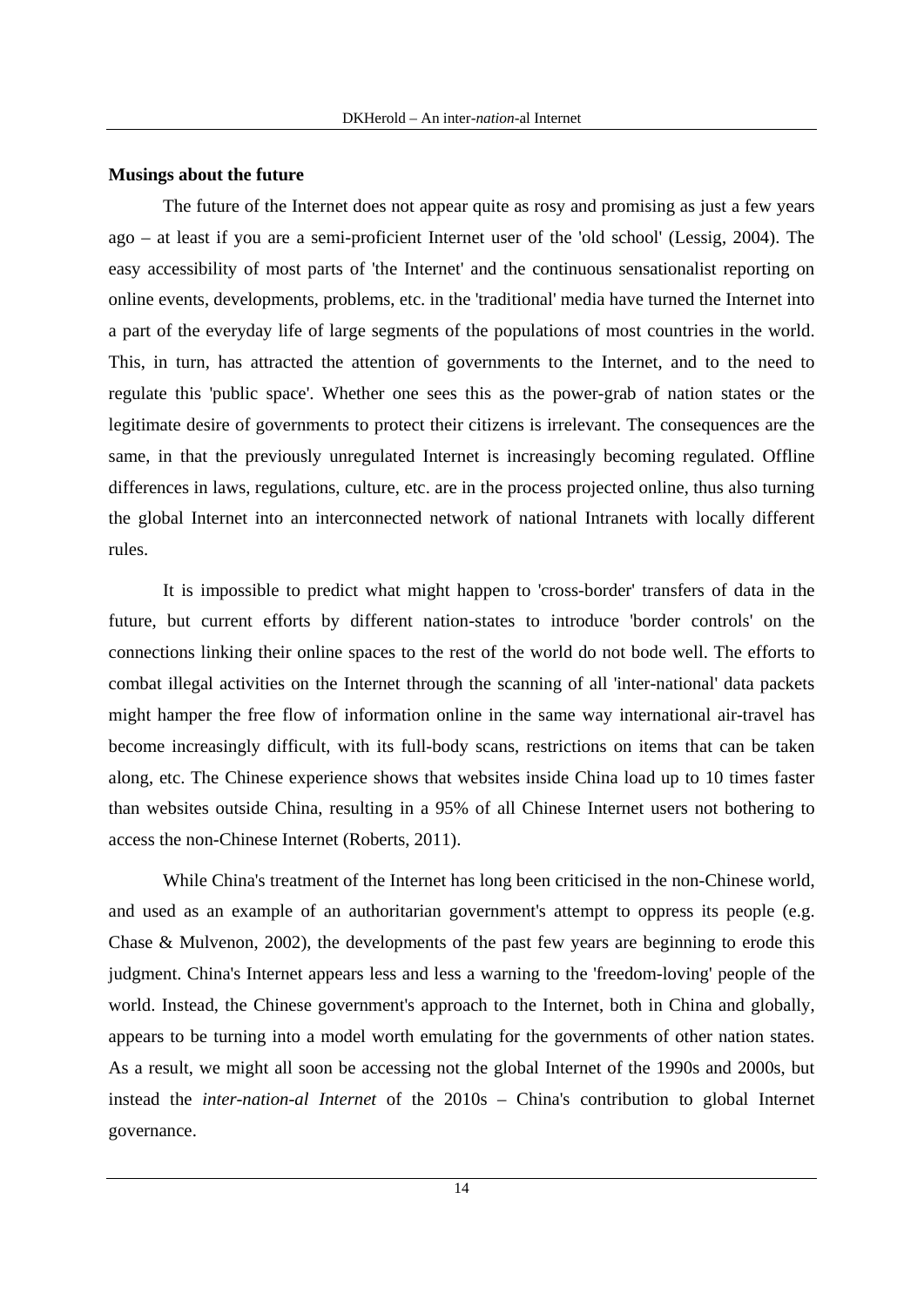#### **Musings about the future**

The future of the Internet does not appear quite as rosy and promising as just a few years ago – at least if you are a semi-proficient Internet user of the 'old school' (Lessig, 2004). The easy accessibility of most parts of 'the Internet' and the continuous sensationalist reporting on online events, developments, problems, etc. in the 'traditional' media have turned the Internet into a part of the everyday life of large segments of the populations of most countries in the world. This, in turn, has attracted the attention of governments to the Internet, and to the need to regulate this 'public space'. Whether one sees this as the power-grab of nation states or the legitimate desire of governments to protect their citizens is irrelevant. The consequences are the same, in that the previously unregulated Internet is increasingly becoming regulated. Offline differences in laws, regulations, culture, etc. are in the process projected online, thus also turning the global Internet into an interconnected network of national Intranets with locally different rules.

It is impossible to predict what might happen to 'cross-border' transfers of data in the future, but current efforts by different nation-states to introduce 'border controls' on the connections linking their online spaces to the rest of the world do not bode well. The efforts to combat illegal activities on the Internet through the scanning of all 'inter-national' data packets might hamper the free flow of information online in the same way international air-travel has become increasingly difficult, with its full-body scans, restrictions on items that can be taken along, etc. The Chinese experience shows that websites inside China load up to 10 times faster than websites outside China, resulting in a 95% of all Chinese Internet users not bothering to access the non-Chinese Internet (Roberts, 2011).

While China's treatment of the Internet has long been criticised in the non-Chinese world, and used as an example of an authoritarian government's attempt to oppress its people (e.g. Chase & Mulvenon, 2002), the developments of the past few years are beginning to erode this judgment. China's Internet appears less and less a warning to the 'freedom-loving' people of the world. Instead, the Chinese government's approach to the Internet, both in China and globally, appears to be turning into a model worth emulating for the governments of other nation states. As a result, we might all soon be accessing not the global Internet of the 1990s and 2000s, but instead the *inter-nation-al Internet* of the 2010s – China's contribution to global Internet governance.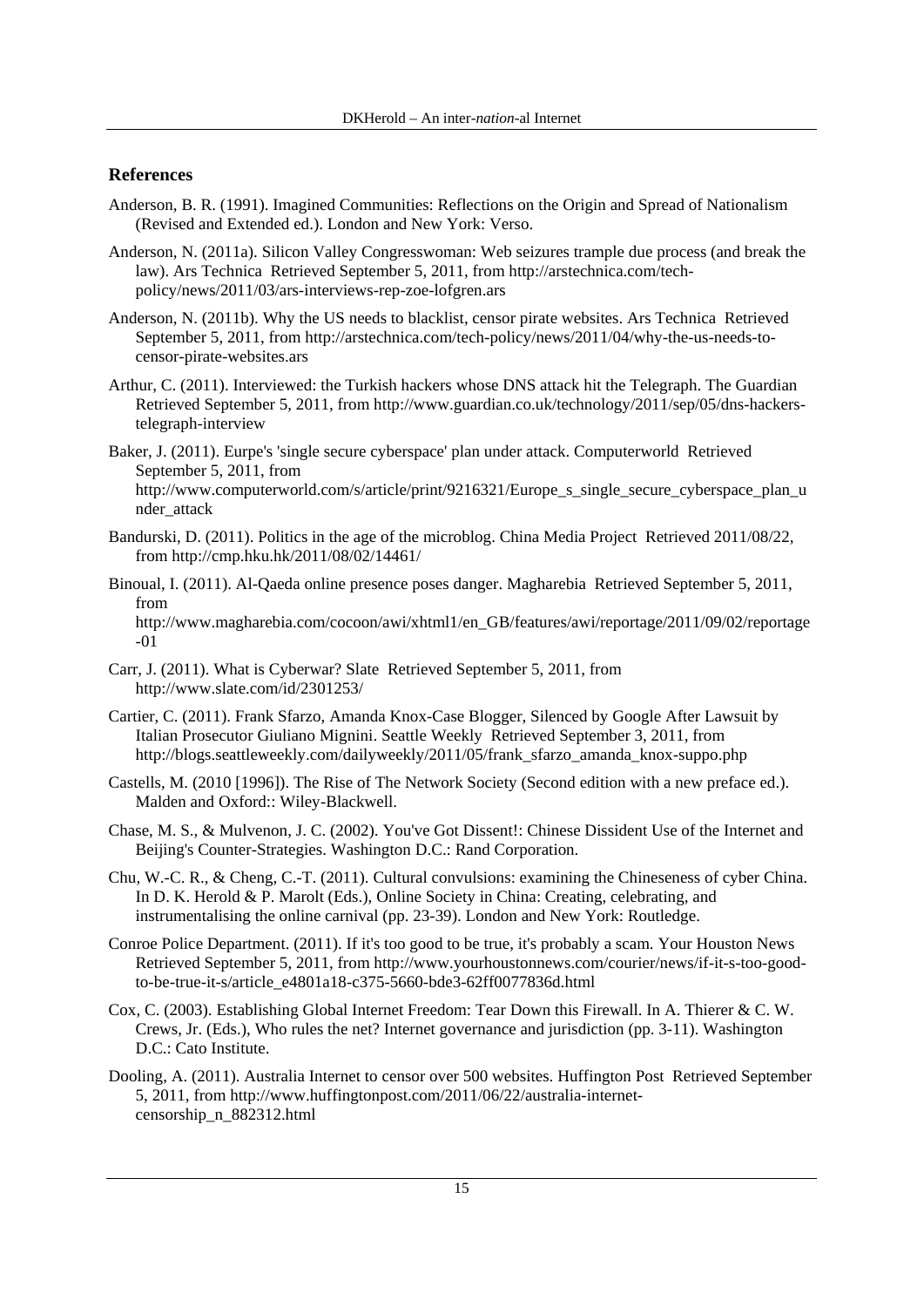### **References**

- Anderson, B. R. (1991). Imagined Communities: Reflections on the Origin and Spread of Nationalism (Revised and Extended ed.). London and New York: Verso.
- Anderson, N. (2011a). Silicon Valley Congresswoman: Web seizures trample due process (and break the law). Ars Technica Retrieved September 5, 2011, from http://arstechnica.com/techpolicy/news/2011/03/ars-interviews-rep-zoe-lofgren.ars
- Anderson, N. (2011b). Why the US needs to blacklist, censor pirate websites. Ars Technica Retrieved September 5, 2011, from http://arstechnica.com/tech-policy/news/2011/04/why-the-us-needs-tocensor-pirate-websites.ars
- Arthur, C. (2011). Interviewed: the Turkish hackers whose DNS attack hit the Telegraph. The Guardian Retrieved September 5, 2011, from http://www.guardian.co.uk/technology/2011/sep/05/dns-hackerstelegraph-interview
- Baker, J. (2011). Eurpe's 'single secure cyberspace' plan under attack. Computerworld Retrieved September 5, 2011, from http://www.computerworld.com/s/article/print/9216321/Europe s single secure cyberspace plan u nder\_attack
- Bandurski, D. (2011). Politics in the age of the microblog. China Media Project Retrieved 2011/08/22, from http://cmp.hku.hk/2011/08/02/14461/
- Binoual, I. (2011). Al-Qaeda online presence poses danger. Magharebia Retrieved September 5, 2011, from http://www.magharebia.com/cocoon/awi/xhtml1/en\_GB/features/awi/reportage/2011/09/02/reportage -01
- Carr, J. (2011). What is Cyberwar? Slate Retrieved September 5, 2011, from http://www.slate.com/id/2301253/
- Cartier, C. (2011). Frank Sfarzo, Amanda Knox-Case Blogger, Silenced by Google After Lawsuit by Italian Prosecutor Giuliano Mignini. Seattle Weekly Retrieved September 3, 2011, from http://blogs.seattleweekly.com/dailyweekly/2011/05/frank\_sfarzo\_amanda\_knox-suppo.php
- Castells, M. (2010 [1996]). The Rise of The Network Society (Second edition with a new preface ed.). Malden and Oxford:: Wiley-Blackwell.
- Chase, M. S., & Mulvenon, J. C. (2002). You've Got Dissent!: Chinese Dissident Use of the Internet and Beijing's Counter-Strategies. Washington D.C.: Rand Corporation.
- Chu, W.-C. R., & Cheng, C.-T. (2011). Cultural convulsions: examining the Chineseness of cyber China. In D. K. Herold & P. Marolt (Eds.), Online Society in China: Creating, celebrating, and instrumentalising the online carnival (pp. 23-39). London and New York: Routledge.
- Conroe Police Department. (2011). If it's too good to be true, it's probably a scam. Your Houston News Retrieved September 5, 2011, from http://www.yourhoustonnews.com/courier/news/if-it-s-too-goodto-be-true-it-s/article\_e4801a18-c375-5660-bde3-62ff0077836d.html
- Cox, C. (2003). Establishing Global Internet Freedom: Tear Down this Firewall. In A. Thierer & C. W. Crews, Jr. (Eds.), Who rules the net? Internet governance and jurisdiction (pp. 3-11). Washington D.C.: Cato Institute.
- Dooling, A. (2011). Australia Internet to censor over 500 websites. Huffington Post Retrieved September 5, 2011, from http://www.huffingtonpost.com/2011/06/22/australia-internetcensorship\_n\_882312.html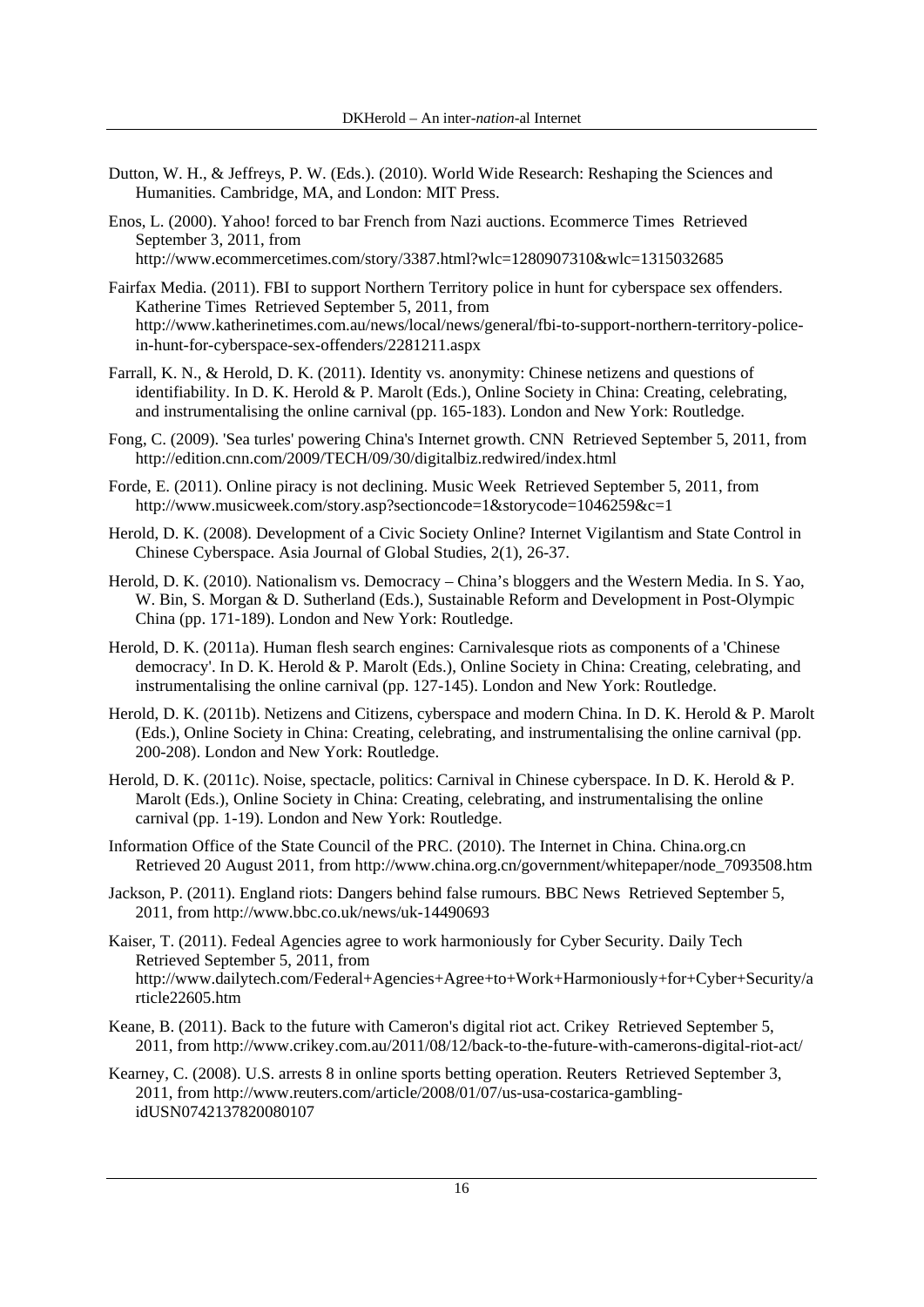- Dutton, W. H., & Jeffreys, P. W. (Eds.). (2010). World Wide Research: Reshaping the Sciences and Humanities. Cambridge, MA, and London: MIT Press.
- Enos, L. (2000). Yahoo! forced to bar French from Nazi auctions. Ecommerce Times Retrieved September 3, 2011, from http://www.ecommercetimes.com/story/3387.html?wlc=1280907310&wlc=1315032685
- Fairfax Media. (2011). FBI to support Northern Territory police in hunt for cyberspace sex offenders. Katherine Times Retrieved September 5, 2011, from http://www.katherinetimes.com.au/news/local/news/general/fbi-to-support-northern-territory-policein-hunt-for-cyberspace-sex-offenders/2281211.aspx
- Farrall, K. N., & Herold, D. K. (2011). Identity vs. anonymity: Chinese netizens and questions of identifiability. In D. K. Herold & P. Marolt (Eds.), Online Society in China: Creating, celebrating, and instrumentalising the online carnival (pp. 165-183). London and New York: Routledge.
- Fong, C. (2009). 'Sea turles' powering China's Internet growth. CNN Retrieved September 5, 2011, from http://edition.cnn.com/2009/TECH/09/30/digitalbiz.redwired/index.html
- Forde, E. (2011). Online piracy is not declining. Music Week Retrieved September 5, 2011, from http://www.musicweek.com/story.asp?sectioncode=1&storycode=1046259&c=1
- Herold, D. K. (2008). Development of a Civic Society Online? Internet Vigilantism and State Control in Chinese Cyberspace. Asia Journal of Global Studies, 2(1), 26-37.
- Herold, D. K. (2010). Nationalism vs. Democracy China's bloggers and the Western Media. In S. Yao, W. Bin, S. Morgan & D. Sutherland (Eds.), Sustainable Reform and Development in Post-Olympic China (pp. 171-189). London and New York: Routledge.
- Herold, D. K. (2011a). Human flesh search engines: Carnivalesque riots as components of a 'Chinese democracy'. In D. K. Herold & P. Marolt (Eds.), Online Society in China: Creating, celebrating, and instrumentalising the online carnival (pp. 127-145). London and New York: Routledge.
- Herold, D. K. (2011b). Netizens and Citizens, cyberspace and modern China. In D. K. Herold & P. Marolt (Eds.), Online Society in China: Creating, celebrating, and instrumentalising the online carnival (pp. 200-208). London and New York: Routledge.
- Herold, D. K. (2011c). Noise, spectacle, politics: Carnival in Chinese cyberspace. In D. K. Herold & P. Marolt (Eds.), Online Society in China: Creating, celebrating, and instrumentalising the online carnival (pp. 1-19). London and New York: Routledge.
- Information Office of the State Council of the PRC. (2010). The Internet in China. China.org.cn Retrieved 20 August 2011, from http://www.china.org.cn/government/whitepaper/node\_7093508.htm
- Jackson, P. (2011). England riots: Dangers behind false rumours. BBC News Retrieved September 5, 2011, from http://www.bbc.co.uk/news/uk-14490693
- Kaiser, T. (2011). Fedeal Agencies agree to work harmoniously for Cyber Security. Daily Tech Retrieved September 5, 2011, from http://www.dailytech.com/Federal+Agencies+Agree+to+Work+Harmoniously+for+Cyber+Security/a rticle22605.htm
- Keane, B. (2011). Back to the future with Cameron's digital riot act. Crikey Retrieved September 5, 2011, from http://www.crikey.com.au/2011/08/12/back-to-the-future-with-camerons-digital-riot-act/
- Kearney, C. (2008). U.S. arrests 8 in online sports betting operation. Reuters Retrieved September 3, 2011, from http://www.reuters.com/article/2008/01/07/us-usa-costarica-gamblingidUSN0742137820080107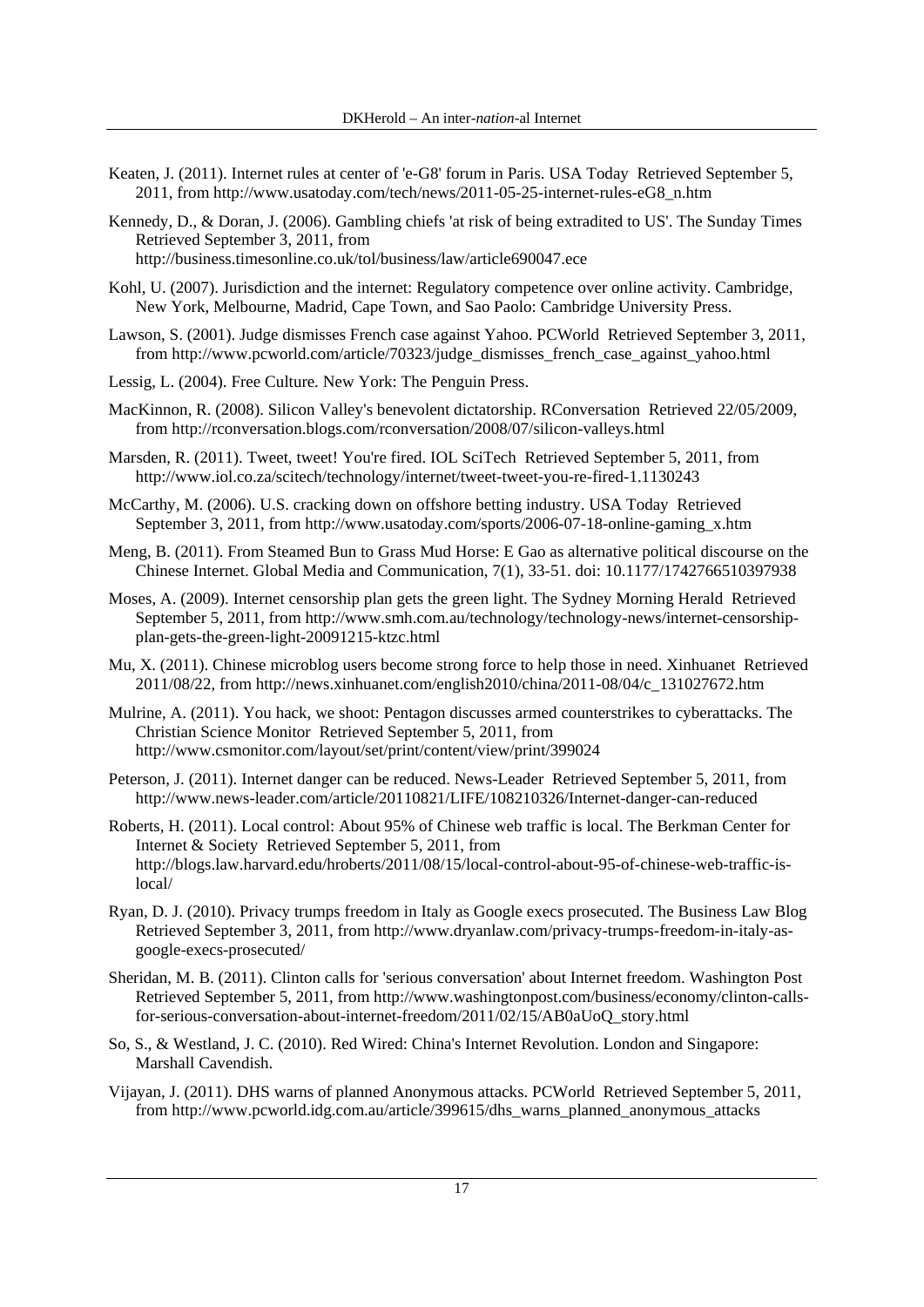- Keaten, J. (2011). Internet rules at center of 'e-G8' forum in Paris. USA Today Retrieved September 5, 2011, from http://www.usatoday.com/tech/news/2011-05-25-internet-rules-eG8\_n.htm
- Kennedy, D., & Doran, J. (2006). Gambling chiefs 'at risk of being extradited to US'. The Sunday Times Retrieved September 3, 2011, from http://business.timesonline.co.uk/tol/business/law/article690047.ece
- Kohl, U. (2007). Jurisdiction and the internet: Regulatory competence over online activity. Cambridge, New York, Melbourne, Madrid, Cape Town, and Sao Paolo: Cambridge University Press.
- Lawson, S. (2001). Judge dismisses French case against Yahoo. PCWorld Retrieved September 3, 2011, from http://www.pcworld.com/article/70323/judge\_dismisses\_french\_case\_against\_yahoo.html
- Lessig, L. (2004). Free Culture. New York: The Penguin Press.
- MacKinnon, R. (2008). Silicon Valley's benevolent dictatorship. RConversation Retrieved 22/05/2009, from http://rconversation.blogs.com/rconversation/2008/07/silicon-valleys.html
- Marsden, R. (2011). Tweet, tweet! You're fired. IOL SciTech Retrieved September 5, 2011, from http://www.iol.co.za/scitech/technology/internet/tweet-tweet-you-re-fired-1.1130243
- McCarthy, M. (2006). U.S. cracking down on offshore betting industry. USA Today Retrieved September 3, 2011, from http://www.usatoday.com/sports/2006-07-18-online-gaming\_x.htm
- Meng, B. (2011). From Steamed Bun to Grass Mud Horse: E Gao as alternative political discourse on the Chinese Internet. Global Media and Communication, 7(1), 33-51. doi: 10.1177/1742766510397938
- Moses, A. (2009). Internet censorship plan gets the green light. The Sydney Morning Herald Retrieved September 5, 2011, from http://www.smh.com.au/technology/technology-news/internet-censorshipplan-gets-the-green-light-20091215-ktzc.html
- Mu, X. (2011). Chinese microblog users become strong force to help those in need. Xinhuanet Retrieved 2011/08/22, from http://news.xinhuanet.com/english2010/china/2011-08/04/c\_131027672.htm
- Mulrine, A. (2011). You hack, we shoot: Pentagon discusses armed counterstrikes to cyberattacks. The Christian Science Monitor Retrieved September 5, 2011, from http://www.csmonitor.com/layout/set/print/content/view/print/399024
- Peterson, J. (2011). Internet danger can be reduced. News-Leader Retrieved September 5, 2011, from http://www.news-leader.com/article/20110821/LIFE/108210326/Internet-danger-can-reduced
- Roberts, H. (2011). Local control: About 95% of Chinese web traffic is local. The Berkman Center for Internet & Society Retrieved September 5, 2011, from http://blogs.law.harvard.edu/hroberts/2011/08/15/local-control-about-95-of-chinese-web-traffic-islocal/
- Ryan, D. J. (2010). Privacy trumps freedom in Italy as Google execs prosecuted. The Business Law Blog Retrieved September 3, 2011, from http://www.dryanlaw.com/privacy-trumps-freedom-in-italy-asgoogle-execs-prosecuted/
- Sheridan, M. B. (2011). Clinton calls for 'serious conversation' about Internet freedom. Washington Post Retrieved September 5, 2011, from http://www.washingtonpost.com/business/economy/clinton-callsfor-serious-conversation-about-internet-freedom/2011/02/15/AB0aUoQ\_story.html
- So, S., & Westland, J. C. (2010). Red Wired: China's Internet Revolution. London and Singapore: Marshall Cavendish.
- Vijayan, J. (2011). DHS warns of planned Anonymous attacks. PCWorld Retrieved September 5, 2011, from http://www.pcworld.idg.com.au/article/399615/dhs\_warns\_planned\_anonymous\_attacks